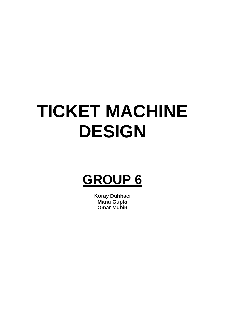# **TICKET MACHINE DESIGN**

## **GROUP 6**

**Koray Duhbaci Manu Gupta Omar Mubin**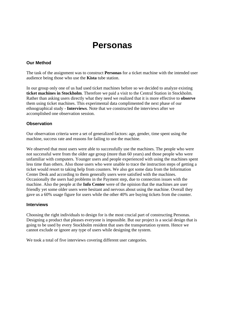### **Personas**

#### **Our Method**

The task of the assignment was to construct **Personas** for a ticket machine with the intended user audience being those who use the **Kista** tube station.

In our group only one of us had used ticket machines before so we decided to analyze existing **ticket machines in Stockholm**. Therefore we paid a visit to the Central Station in Stockholm. Rather than asking users directly what they need we realized that it is more effective to **observe** them using ticket machines. This experimental data complimented the next phase of our ethnographical study - **Interviews**. Note that we constructed the interviews after we accomplished one observation session.

#### **Observation**

Our observation criteria were a set of generalized factors: age, gender, time spent using the machine, success rate and reasons for failing to use the machine.

We observed that most users were able to successfully use the machines. The people who were not successful were from the older age group (more than 60 years) and those people who were unfamiliar with computers. Younger users and people experienced with using the machines spent less time than others. Also those users who were unable to trace the instruction steps of getting a ticket would resort to taking help from counters. We also got some data from the Information Center Desk and according to them generally users were satisfied with the machines. Occasionally the users had problems in the Payment step, due to connection issues with the machine. Also the people at the **Info Center** were of the opinion that the machines are user friendly yet some older users were hesitant and nervous about using the machine. Overall they gave us a 60% usage figure for users while the other 40% are buying tickets from the counter.

#### **Interviews**

Choosing the right individuals to design for is the most crucial part of constructing Personas. Designing a product that pleases everyone is impossible. But our project is a social design that is going to be used by every Stockholm resident that uses the transportation system. Hence we cannot exclude or ignore any type of users while designing the system.

We took a total of five interviews covering different user categories.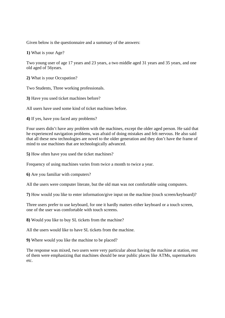Given below is the questionnaire and a summary of the answers:

**1)** What is your Age?

Two young user of age 17 years and 23 years, a two middle aged 31 years and 35 years, and one old aged of 56years.

**2)** What is your Occupation?

Two Students, Three working professionals.

**3)** Have you used ticket machines before?

All users have used some kind of ticket machines before.

**4)** If yes, have you faced any problems?

Four users didn't have any problem with the machines, except the older aged person. He said that he experienced navigation problems, was afraid of doing mistakes and felt nervous. He also said that all these new technologies are novel to the older generation and they don't have the frame of mind to use machines that are technologically advanced.

**5)** How often have you used the ticket machines?

Frequency of using machines varies from twice a month to twice a year.

**6)** Are you familiar with computers?

All the users were computer literate, but the old man was not comfortable using computers.

**7)** How would you like to enter information/give input on the machine (touch screen/keyboard)?

Three users prefer to use keyboard, for one it hardly matters either keyboard or a touch screen, one of the user was comfortable with touch screens.

**8)** Would you like to buy SL tickets from the machine?

All the users would like to have SL tickets from the machine.

**9)** Where would you like the machine to be placed?

The response was mixed, two users were very particular about having the machine at station, rest of them were emphasizing that machines should be near public places like ATMs, supermarkets etc.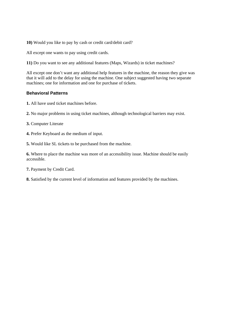**10)** Would you like to pay by cash or credit card/debit card?

All except one wants to pay using credit cards.

**11)** Do you want to see any additional features (Maps, Wizards) in ticket machines?

All except one don't want any additional help features in the machine, the reason they give was that it will add to the delay for using the machine. One subject suggested having two separate machines; one for information and one for purchase of tickets.

#### **Behavioral Patterns**

- **1.** All have used ticket machines before.
- **2.** No major problems in using ticket machines, although technological barriers may exist.
- **3.** Computer Literate
- **4.** Prefer Keyboard as the medium of input.
- **5.** Would like SL tickets to be purchased from the machine.

**6.** Where to place the machine was more of an accessibility issue. Machine should be easily accessible.

- **7.** Payment by Credit Card.
- **8.** Satisfied by the current level of information and features provided by the machines.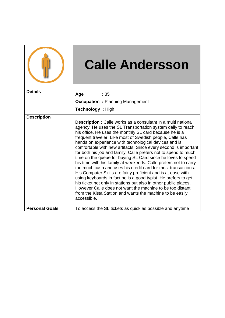|                       | <b>Calle Andersson</b>                                                                                                                                                                                                                                                                                                                                                                                                                                                                                                                                                                                                                                                                                                                                                                                                                                                                                                                                                                                         |
|-----------------------|----------------------------------------------------------------------------------------------------------------------------------------------------------------------------------------------------------------------------------------------------------------------------------------------------------------------------------------------------------------------------------------------------------------------------------------------------------------------------------------------------------------------------------------------------------------------------------------------------------------------------------------------------------------------------------------------------------------------------------------------------------------------------------------------------------------------------------------------------------------------------------------------------------------------------------------------------------------------------------------------------------------|
| <b>Details</b>        | Age<br>:35<br><b>Occupation : Planning Management</b><br>Technology : High                                                                                                                                                                                                                                                                                                                                                                                                                                                                                                                                                                                                                                                                                                                                                                                                                                                                                                                                     |
| <b>Description</b>    | <b>Description:</b> Calle works as a consultant in a multi national<br>agency. He uses the SL Transportation system daily to reach<br>his office. He uses the monthly SL card because he is a<br>frequent traveler. Like most of Swedish people, Calle has<br>hands on experience with technological devices and is<br>comfortable with new artifacts. Since every second is important<br>for both his job and family, Calle prefers not to spend to much<br>time on the queue for buying SL Card since he loves to spend<br>his time with his family at weekends. Calle prefers not to carry<br>too much cash and uses his credit card for most transactions.<br>His Computer Skills are fairly proficient and is at ease with<br>using keyboards in fact he is a good typist. He prefers to get<br>his ticket not only in stations but also in other public places.<br>However Calle does not want the machine to be too distant<br>from the Kista Station and wants the machine to be easily<br>accessible. |
| <b>Personal Goals</b> | To access the SL tickets as quick as possible and anytime                                                                                                                                                                                                                                                                                                                                                                                                                                                                                                                                                                                                                                                                                                                                                                                                                                                                                                                                                      |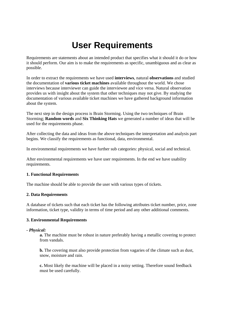## **User Requirements**

Requirements are statements about an intended product that specifies what it should it do or how it should perform. Our aim is to make the requirements as specific, unambiguous and as clear as possible.

In order to extract the requirements we have used **interviews**, natural **observations** and studied the documentation of **various ticket machines** available throughout the world. We chose interviews because interviewer can guide the interviewee and vice versa. Natural observation provides us with insight about the system that other techniques may not give. By studying the documentation of various available ticket machines we have gathered background information about the system.

The next step in the design process is Brain Storming. Using the two techniques of Brain Storming; **Random words** and **Six Thinking Hats** we generated a number of ideas that will be used for the requirements phase.

After collecting the data and ideas from the above techniques the interpretation and analysis part begins. We classify the requirements as functional, data, environmental.

In environmental requirements we have further sub categories: physical, social and technical.

After environmental requirements we have user requirements. In the end we have usability requirements.

#### **1. Functional Requirements**

The machine should be able to provide the user with various types of tickets.

#### **2. Data Requirements**

A database of tickets such that each ticket has the following attributes ticket number, price, zone information, ticket type, validity in terms of time period and any other additional comments.

#### **3. Environmental Requirements**

#### *- Physical:*

**a.** The machine must be robust in nature preferably having a metallic covering to protect from vandals.

**b.** The covering must also provide protection from vagaries of the climate such as dust, snow, moisture and rain.

**c.** Most likely the machine will be placed in a noisy setting. Therefore sound feedback must be used carefully.